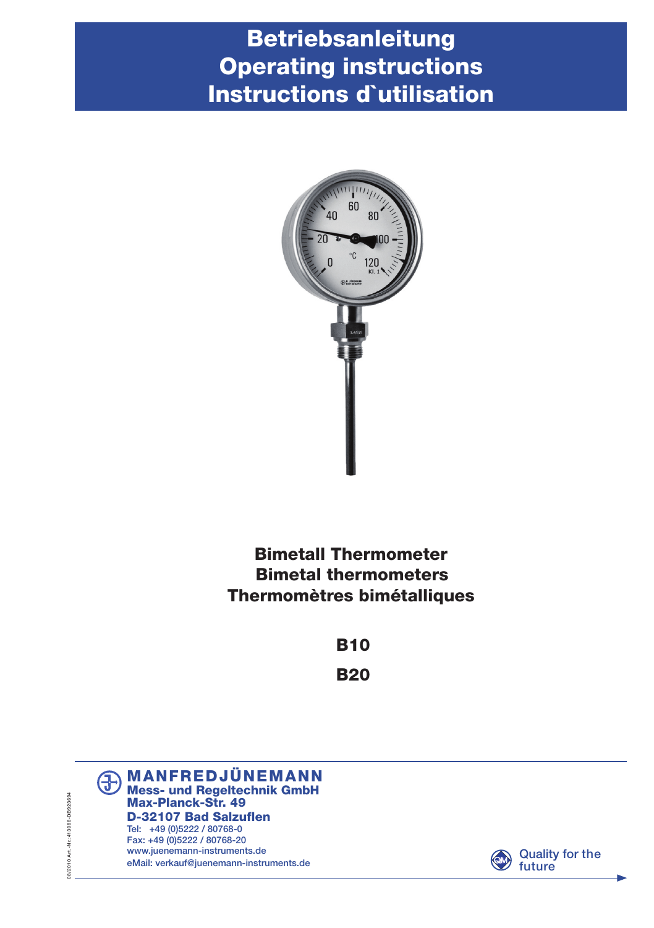# Betriebsanleitung Operating instructions Instructions d`utilisation



## Bimetall Thermometer Bimetal thermometers Thermomètres bimétalliques

**B10 B20** 





08/2010 Art - Nr.:413088-DB923694 08/2010 Art.-Nr.:413088-DB923694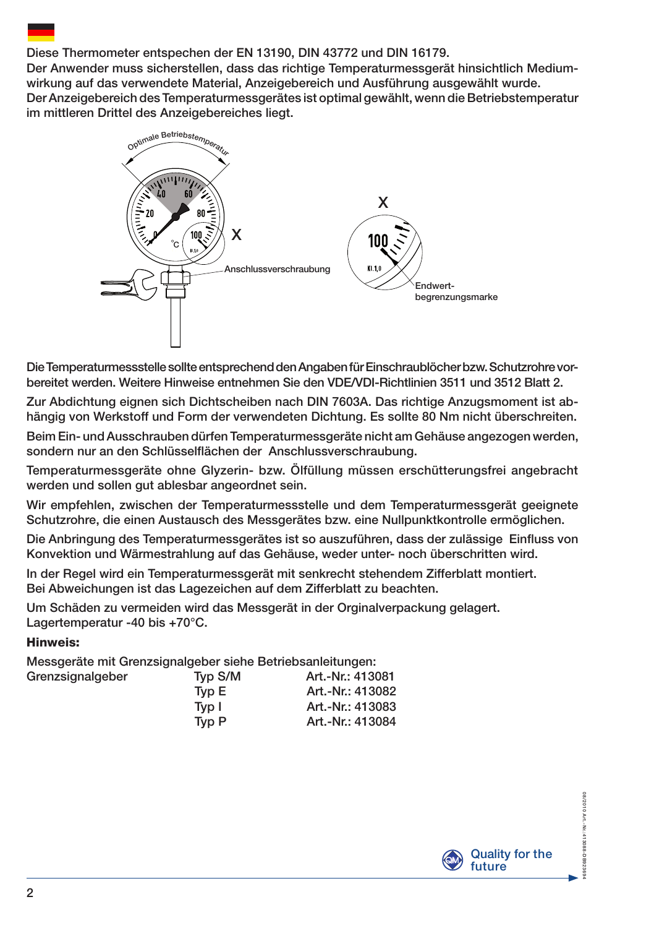#### Diese Thermometer entspechen der EN 13190, DIN 43772 und DIN 16179.

Der Anwender muss sicherstellen, dass das richtige Temperaturmessgerät hinsichtlich Mediumwirkung auf das verwendete Material, Anzeigebereich und Ausführung ausgewählt wurde. Der Anzeigebereich des Temperaturmessgerätes ist optimal gewählt, wenn die Betriebstemperatur im mittleren Drittel des Anzeigebereiches liegt.



Die Temperaturmessstelle sollte entsprechend den Angaben für Einschraublöcher bzw. Schutzrohre vorbereitet werden. Weitere Hinweise entnehmen Sie den VDE/VDI-Richtlinien 3511 und 3512 Blatt 2.

Zur Abdichtung eignen sich Dichtscheiben nach DIN 7603A. Das richtige Anzugsmoment ist abhängig von Werkstoff und Form der verwendeten Dichtung. Es sollte 80 Nm nicht überschreiten.

Beim Ein- und Ausschrauben dürfen Temperaturmessgeräte nicht am Gehäuse angezogen werden, sondern nur an den Schlüsselflächen der Anschlussverschraubung.

Temperaturmessgeräte ohne Glyzerin- bzw. Ölfüllung müssen erschütterungsfrei angebracht werden und sollen gut ablesbar angeordnet sein.

Wir empfehlen, zwischen der Temperaturmessstelle und dem Temperaturmessgerät geeignete Schutzrohre, die einen Austausch des Messgerätes bzw. eine Nullpunktkontrolle ermöglichen.

Die Anbringung des Temperaturmessgerätes ist so auszuführen, dass der zulässige Einfluss von Konvektion und Wärmestrahlung auf das Gehäuse, weder unter- noch überschritten wird.

In der Regel wird ein Temperaturmessgerät mit senkrecht stehendem Zifferblatt montiert. Bei Abweichungen ist das Lagezeichen auf dem Zifferblatt zu beachten.

Um Schäden zu vermeiden wird das Messgerät in der Orginalverpackung gelagert. Lagertemperatur -40 bis +70°C.

#### Hinweis:

Messgeräte mit Grenzsignalgeber siehe Betriebsanleitungen:

| Grenzsignalgeber | Typ S/M | Art.-Nr.: 413081 |
|------------------|---------|------------------|
|                  | Tvp E   | Art.-Nr.: 413082 |
|                  | Tvp I   | Art.-Nr.: 413083 |
|                  | Tvp P   | Art.-Nr.: 413084 |



08/2010 Art.-Nr.:41309-DB923694

"SA 13088-DBS 923694

08/2010 Art - Nr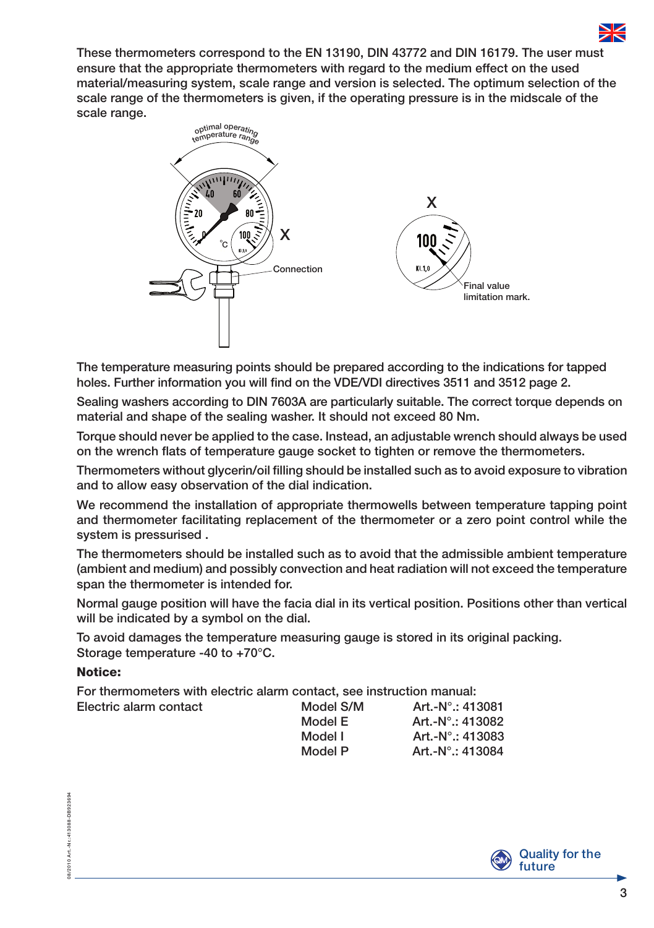

These thermometers correspond to the EN 13190, DIN 43772 and DIN 16179. The user must ensure that the appropriate thermometers with regard to the medium effect on the used material/measuring system, scale range and version is selected.. The optimum selection of the scale range of the thermometers is given, if the operating pressure is in the midscale of the scale range.



The temperature measuring points should be prepared according to the indications for tapped holes. Further information you will find on the VDE/VDI directives 3511 and 3512 page 2.

Sealing washers according to DIN 7603A are particularly suitable. The correct torque depends on material and shape of the sealing washer. It should not exceed 80 Nm.

Torque should never be applied to the case. Instead, an adjustable wrench should always be used on the wrench flats of temperature gauge socket to tighten or remove the thermometers.

Thermometers without glycerin/oil filling should be installed such as to avoid exposure to vibration and to allow easy observation of the dial indication.

We recommend the installation of appropriate thermowells between temperature tapping point and thermometer facilitating replacement of the thermometer or a zero point control while the system is pressurised .

The thermometers should be installed such as to avoid that the admissible ambient temperature (ambient and medium) and possibly convection and heat radiation will not exceed the temperature span the thermometer is intended for.

Normal gauge position will have the facia dial in its vertical position. Positions other than vertical will be indicated by a symbol on the dial.

To avoid damages the temperature measuring gauge is stored in its original packing. Storage temperature -40 to +70°C.

#### Notice:

For thermometers with electric alarm contact, see instruction manual:

| Electric alarm contact | Model S/M | Art.-N°.: 413081            |
|------------------------|-----------|-----------------------------|
|                        | Model E   | Art.-N° $\therefore$ 413082 |
|                        | Model I   | Art.-N° $\therefore$ 413083 |
|                        | Model P   | Art.-N°.: 413084            |
|                        |           |                             |